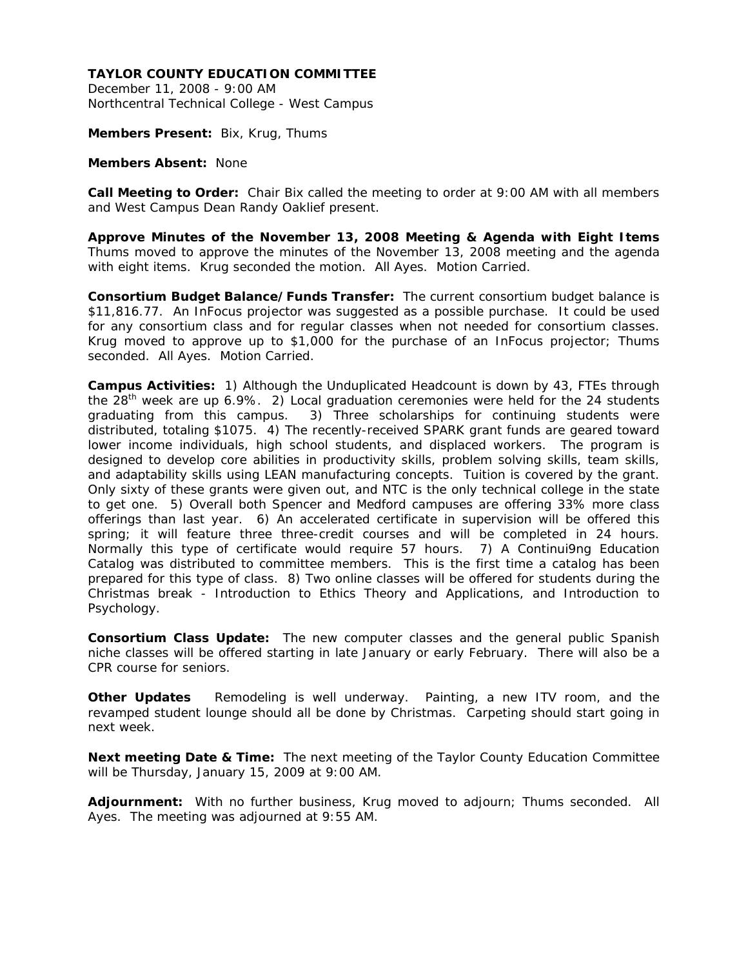December 11, 2008 - 9:00 AM Northcentral Technical College - West Campus

**Members Present:** Bix, Krug, Thums

#### **Members Absent:** None

**Call Meeting to Order:** Chair Bix called the meeting to order at 9:00 AM with all members and West Campus Dean Randy Oaklief present.

**Approve Minutes of the November 13, 2008 Meeting & Agenda with Eight Items**  Thums moved to approve the minutes of the November 13, 2008 meeting and the agenda with eight items. Krug seconded the motion. All Ayes. Motion Carried.

**Consortium Budget Balance/Funds Transfer:** The current consortium budget balance is \$11,816.77. An InFocus projector was suggested as a possible purchase. It could be used for any consortium class and for regular classes when not needed for consortium classes. Krug moved to approve up to \$1,000 for the purchase of an InFocus projector; Thums seconded. All Ayes. Motion Carried.

**Campus Activities:** 1) Although the Unduplicated Headcount is down by 43, FTEs through the  $28<sup>th</sup>$  week are up 6.9%. 2) Local graduation ceremonies were held for the 24 students graduating from this campus. 3) Three scholarships for continuing students were distributed, totaling \$1075. 4) The recently-received SPARK grant funds are geared toward lower income individuals, high school students, and displaced workers. The program is designed to develop core abilities in productivity skills, problem solving skills, team skills, and adaptability skills using LEAN manufacturing concepts. Tuition is covered by the grant. Only sixty of these grants were given out, and NTC is the only technical college in the state to get one. 5) Overall both Spencer and Medford campuses are offering 33% more class offerings than last year. 6) An accelerated certificate in supervision will be offered this spring; it will feature three three-credit courses and will be completed in 24 hours. Normally this type of certificate would require 57 hours. 7) A Continui9ng Education Catalog was distributed to committee members. This is the first time a catalog has been prepared for this type of class. 8) Two online classes will be offered for students during the Christmas break - Introduction to Ethics Theory and Applications, and Introduction to Psychology.

**Consortium Class Update:** The new computer classes and the general public Spanish niche classes will be offered starting in late January or early February. There will also be a CPR course for seniors.

**Other Updates** Remodeling is well underway. Painting, a new ITV room, and the revamped student lounge should all be done by Christmas. Carpeting should start going in next week.

**Next meeting Date & Time:** The next meeting of the Taylor County Education Committee will be Thursday, January 15, 2009 at 9:00 AM.

**Adjournment:** With no further business, Krug moved to adjourn; Thums seconded. All Ayes. The meeting was adjourned at 9:55 AM.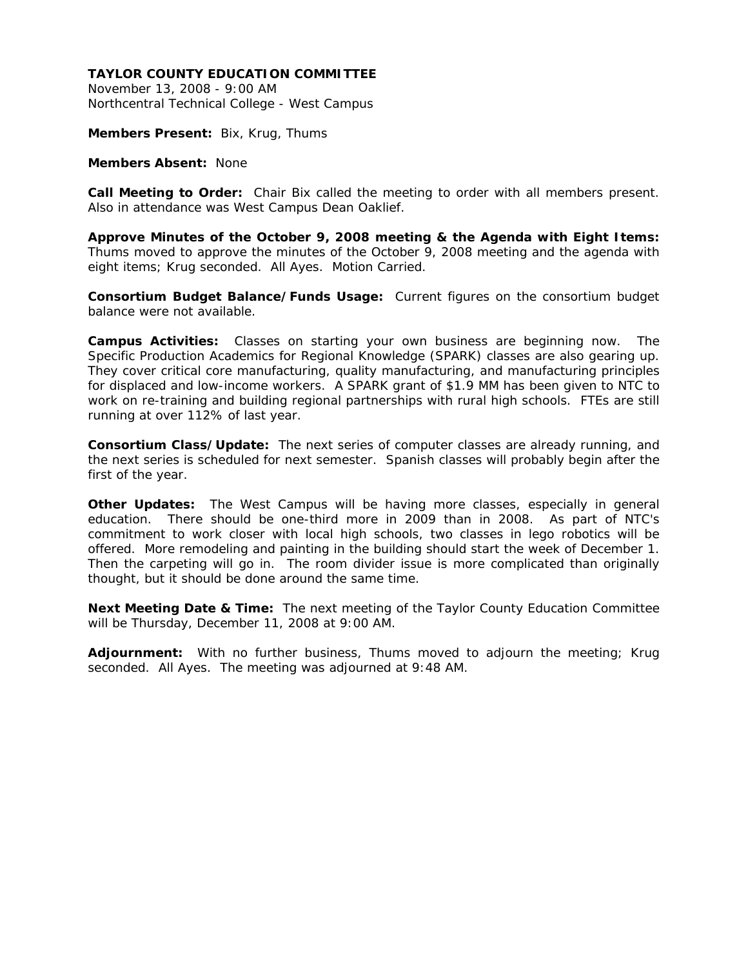November 13, 2008 - 9:00 AM Northcentral Technical College - West Campus

**Members Present:** Bix, Krug, Thums

#### **Members Absent:** None

**Call Meeting to Order:** Chair Bix called the meeting to order with all members present. Also in attendance was West Campus Dean Oaklief.

**Approve Minutes of the October 9, 2008 meeting & the Agenda with Eight Items:**  Thums moved to approve the minutes of the October 9, 2008 meeting and the agenda with eight items; Krug seconded. All Ayes. Motion Carried.

**Consortium Budget Balance/Funds Usage:** Current figures on the consortium budget balance were not available.

**Campus Activities:** Classes on starting your own business are beginning now. The Specific Production Academics for Regional Knowledge (SPARK) classes are also gearing up. They cover critical core manufacturing, quality manufacturing, and manufacturing principles for displaced and low-income workers. A SPARK grant of \$1.9 MM has been given to NTC to work on re-training and building regional partnerships with rural high schools. FTEs are still running at over 112% of last year.

**Consortium Class/Update:** The next series of computer classes are already running, and the next series is scheduled for next semester. Spanish classes will probably begin after the first of the year.

**Other Updates:** The West Campus will be having more classes, especially in general education. There should be one-third more in 2009 than in 2008. As part of NTC's commitment to work closer with local high schools, two classes in lego robotics will be offered. More remodeling and painting in the building should start the week of December 1. Then the carpeting will go in. The room divider issue is more complicated than originally thought, but it should be done around the same time.

**Next Meeting Date & Time:** The next meeting of the Taylor County Education Committee will be Thursday, December 11, 2008 at 9:00 AM.

**Adjournment:** With no further business, Thums moved to adjourn the meeting; Krug seconded. All Ayes. The meeting was adjourned at 9:48 AM.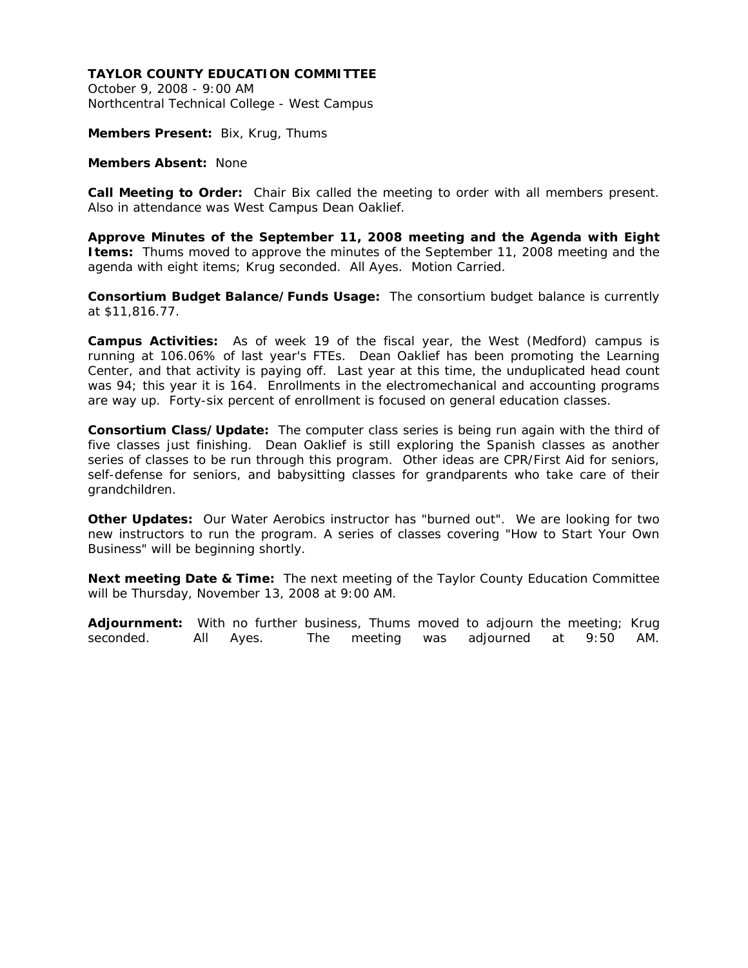October 9, 2008 - 9:00 AM Northcentral Technical College - West Campus

**Members Present:** Bix, Krug, Thums

**Members Absent:** None

**Call Meeting to Order:** Chair Bix called the meeting to order with all members present. Also in attendance was West Campus Dean Oaklief.

**Approve Minutes of the September 11, 2008 meeting and the Agenda with Eight Items:** Thums moved to approve the minutes of the September 11, 2008 meeting and the agenda with eight items; Krug seconded. All Ayes. Motion Carried.

**Consortium Budget Balance/Funds Usage:** The consortium budget balance is currently at \$11,816.77.

**Campus Activities:** As of week 19 of the fiscal year, the West (Medford) campus is running at 106.06% of last year's FTEs. Dean Oaklief has been promoting the Learning Center, and that activity is paying off. Last year at this time, the unduplicated head count was 94; this year it is 164. Enrollments in the electromechanical and accounting programs are way up. Forty-six percent of enrollment is focused on general education classes.

**Consortium Class/Update:** The computer class series is being run again with the third of five classes just finishing. Dean Oaklief is still exploring the Spanish classes as another series of classes to be run through this program. Other ideas are CPR/First Aid for seniors, self-defense for seniors, and babysitting classes for grandparents who take care of their grandchildren.

**Other Updates:** Our Water Aerobics instructor has "burned out". We are looking for two new instructors to run the program. A series of classes covering "How to Start Your Own Business" will be beginning shortly.

**Next meeting Date & Time:** The next meeting of the Taylor County Education Committee will be Thursday, November 13, 2008 at 9:00 AM.

**Adjournment:** With no further business, Thums moved to adjourn the meeting; Krug seconded. All Ayes. The meeting was adjourned at 9:50 AM.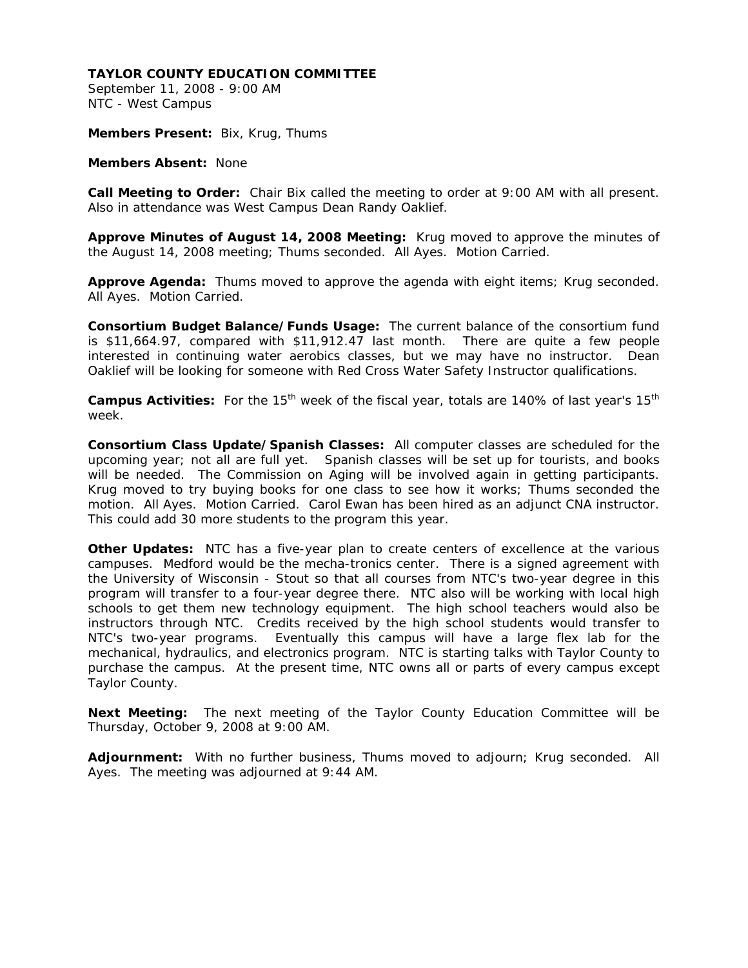September 11, 2008 - 9:00 AM NTC - West Campus

**Members Present:** Bix, Krug, Thums

**Members Absent:** None

**Call Meeting to Order:** Chair Bix called the meeting to order at 9:00 AM with all present. Also in attendance was West Campus Dean Randy Oaklief.

**Approve Minutes of August 14, 2008 Meeting:** Krug moved to approve the minutes of the August 14, 2008 meeting; Thums seconded. All Ayes. Motion Carried.

**Approve Agenda:** Thums moved to approve the agenda with eight items; Krug seconded. All Ayes. Motion Carried.

**Consortium Budget Balance/Funds Usage:** The current balance of the consortium fund is \$11,664.97, compared with \$11,912.47 last month. There are quite a few people interested in continuing water aerobics classes, but we may have no instructor. Dean Oaklief will be looking for someone with Red Cross Water Safety Instructor qualifications.

Campus Activities: For the 15<sup>th</sup> week of the fiscal year, totals are 140% of last year's 15<sup>th</sup> week.

**Consortium Class Update/Spanish Classes:** All computer classes are scheduled for the upcoming year; not all are full yet. Spanish classes will be set up for tourists, and books will be needed. The Commission on Aging will be involved again in getting participants. Krug moved to try buying books for one class to see how it works; Thums seconded the motion. All Ayes. Motion Carried. Carol Ewan has been hired as an adjunct CNA instructor. This could add 30 more students to the program this year.

**Other Updates:** NTC has a five-year plan to create centers of excellence at the various campuses. Medford would be the mecha-tronics center. There is a signed agreement with the University of Wisconsin - Stout so that all courses from NTC's two-year degree in this program will transfer to a four-year degree there. NTC also will be working with local high schools to get them new technology equipment. The high school teachers would also be instructors through NTC. Credits received by the high school students would transfer to NTC's two-year programs. Eventually this campus will have a large flex lab for the mechanical, hydraulics, and electronics program. NTC is starting talks with Taylor County to purchase the campus. At the present time, NTC owns all or parts of every campus except Taylor County.

**Next Meeting:** The next meeting of the Taylor County Education Committee will be Thursday, October 9, 2008 at 9:00 AM.

**Adjournment:** With no further business, Thums moved to adjourn; Krug seconded. All Ayes. The meeting was adjourned at 9:44 AM.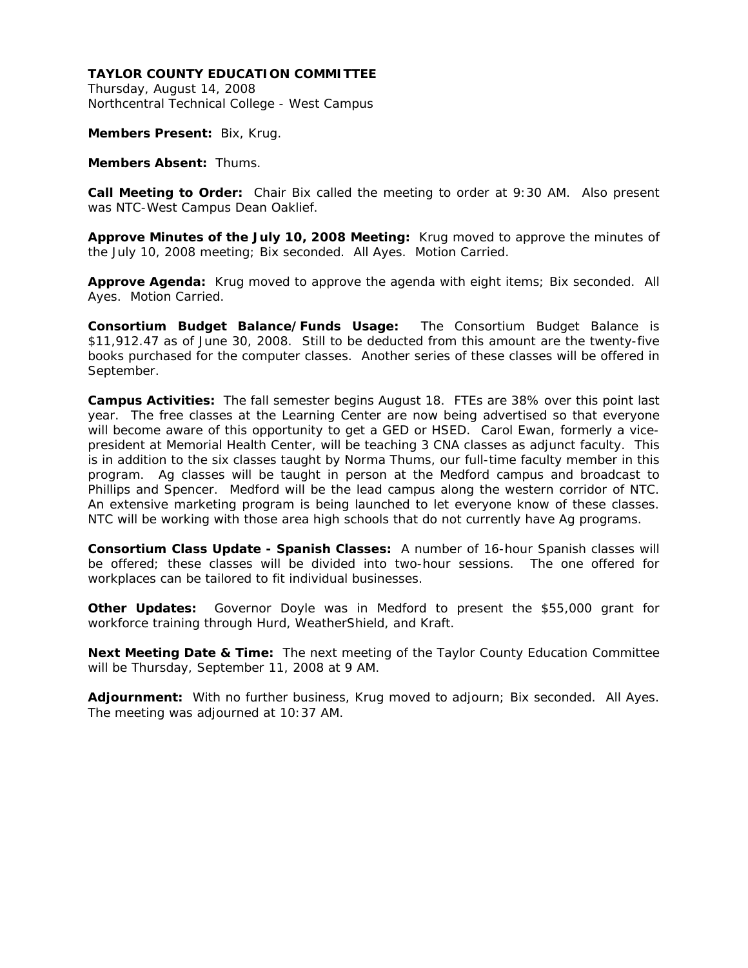Thursday, August 14, 2008 Northcentral Technical College - West Campus

**Members Present:** Bix, Krug.

**Members Absent:** Thums.

**Call Meeting to Order:** Chair Bix called the meeting to order at 9:30 AM. Also present was NTC-West Campus Dean Oaklief.

**Approve Minutes of the July 10, 2008 Meeting:** Krug moved to approve the minutes of the July 10, 2008 meeting; Bix seconded. All Ayes. Motion Carried.

**Approve Agenda:** Krug moved to approve the agenda with eight items; Bix seconded. All Ayes. Motion Carried.

**Consortium Budget Balance/Funds Usage:** The Consortium Budget Balance is \$11,912.47 as of June 30, 2008. Still to be deducted from this amount are the twenty-five books purchased for the computer classes. Another series of these classes will be offered in September.

**Campus Activities:** The fall semester begins August 18. FTEs are 38% over this point last year. The free classes at the Learning Center are now being advertised so that everyone will become aware of this opportunity to get a GED or HSED. Carol Ewan, formerly a vicepresident at Memorial Health Center, will be teaching 3 CNA classes as adjunct faculty. This is in addition to the six classes taught by Norma Thums, our full-time faculty member in this program. Ag classes will be taught in person at the Medford campus and broadcast to Phillips and Spencer. Medford will be the lead campus along the western corridor of NTC. An extensive marketing program is being launched to let everyone know of these classes. NTC will be working with those area high schools that do not currently have Ag programs.

**Consortium Class Update - Spanish Classes:** A number of 16-hour Spanish classes will be offered; these classes will be divided into two-hour sessions. The one offered for workplaces can be tailored to fit individual businesses.

**Other Updates:** Governor Doyle was in Medford to present the \$55,000 grant for workforce training through Hurd, WeatherShield, and Kraft.

**Next Meeting Date & Time:** The next meeting of the Taylor County Education Committee will be Thursday, September 11, 2008 at 9 AM.

**Adjournment:** With no further business, Krug moved to adjourn; Bix seconded. All Ayes. The meeting was adjourned at 10:37 AM.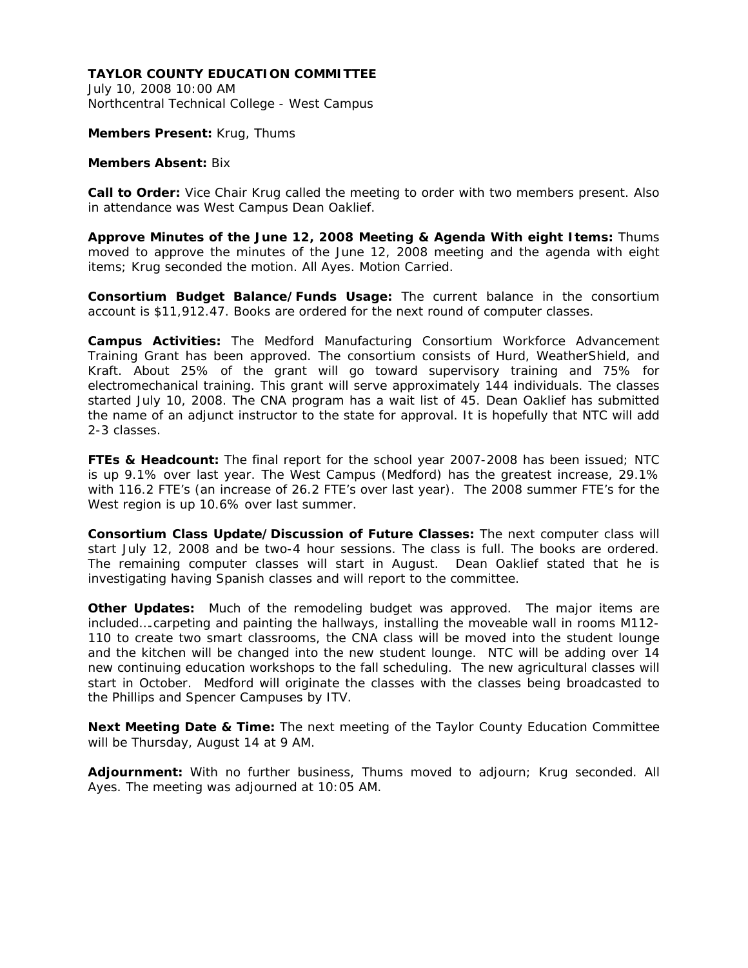July 10, 2008 10:00 AM Northcentral Technical College - West Campus

#### **Members Present:** Krug, Thums

#### **Members Absent:** Bix

**Call to Order:** Vice Chair Krug called the meeting to order with two members present. Also in attendance was West Campus Dean Oaklief.

**Approve Minutes of the June 12, 2008 Meeting & Agenda With eight Items:** Thums moved to approve the minutes of the June 12, 2008 meeting and the agenda with eight items; Krug seconded the motion. All Ayes. Motion Carried.

**Consortium Budget Balance/Funds Usage:** The current balance in the consortium account is \$11,912.47. Books are ordered for the next round of computer classes.

**Campus Activities:** The Medford Manufacturing Consortium Workforce Advancement Training Grant has been approved. The consortium consists of Hurd, WeatherShield, and Kraft. About 25% of the grant will go toward supervisory training and 75% for electromechanical training. This grant will serve approximately 144 individuals. The classes started July 10, 2008. The CNA program has a wait list of 45. Dean Oaklief has submitted the name of an adjunct instructor to the state for approval. It is hopefully that NTC will add 2-3 classes.

**FTEs & Headcount:** The final report for the school year 2007-2008 has been issued; NTC is up 9.1% over last year. The West Campus (Medford) has the greatest increase, 29.1% with 116.2 FTE's (an increase of 26.2 FTE's over last year). The 2008 summer FTE's for the West region is up 10.6% over last summer.

**Consortium Class Update/Discussion of Future Classes:** The next computer class will start July 12, 2008 and be two-4 hour sessions. The class is full. The books are ordered. The remaining computer classes will start in August. Dean Oaklief stated that he is investigating having Spanish classes and will report to the committee.

**Other Updates:** Much of the remodeling budget was approved. The major items are included….carpeting and painting the hallways, installing the moveable wall in rooms M112- 110 to create two smart classrooms, the CNA class will be moved into the student lounge and the kitchen will be changed into the new student lounge. NTC will be adding over 14 new continuing education workshops to the fall scheduling. The new agricultural classes will start in October. Medford will originate the classes with the classes being broadcasted to the Phillips and Spencer Campuses by ITV.

**Next Meeting Date & Time:** The next meeting of the Taylor County Education Committee will be Thursday, August 14 at 9 AM.

**Adjournment:** With no further business, Thums moved to adjourn; Krug seconded. All Ayes. The meeting was adjourned at 10:05 AM.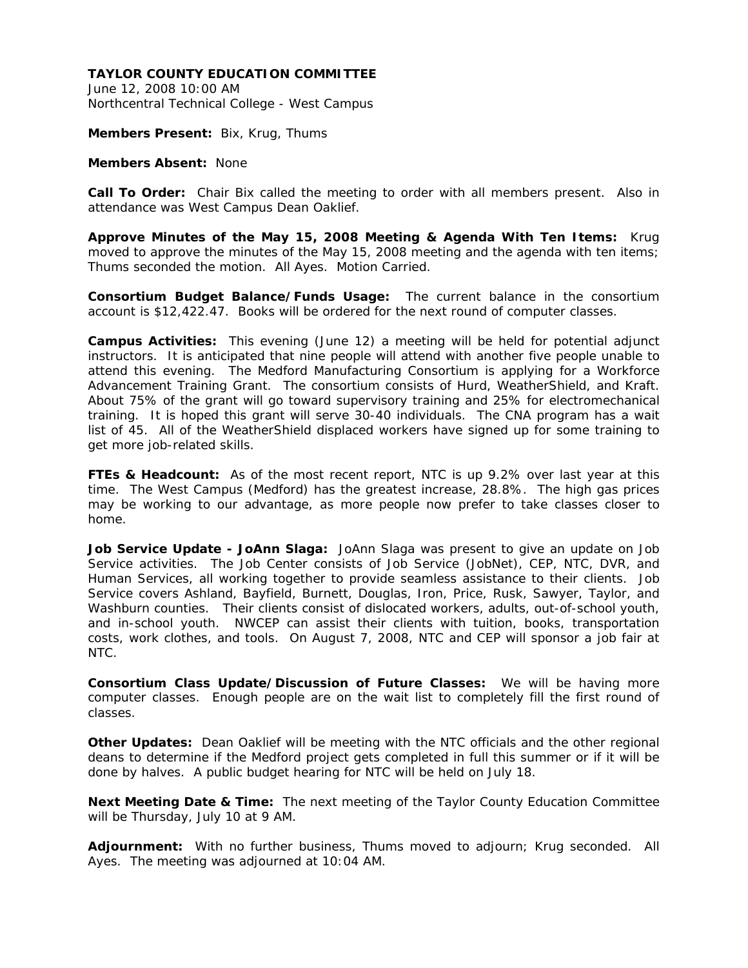June 12, 2008 10:00 AM Northcentral Technical College - West Campus

**Members Present:** Bix, Krug, Thums

#### **Members Absent:** None

**Call To Order:** Chair Bix called the meeting to order with all members present. Also in attendance was West Campus Dean Oaklief.

**Approve Minutes of the May 15, 2008 Meeting & Agenda With Ten Items:** Krug moved to approve the minutes of the May 15, 2008 meeting and the agenda with ten items; Thums seconded the motion. All Ayes. Motion Carried.

**Consortium Budget Balance/Funds Usage:** The current balance in the consortium account is \$12,422.47. Books will be ordered for the next round of computer classes.

**Campus Activities:** This evening (June 12) a meeting will be held for potential adjunct instructors. It is anticipated that nine people will attend with another five people unable to attend this evening. The Medford Manufacturing Consortium is applying for a Workforce Advancement Training Grant. The consortium consists of Hurd, WeatherShield, and Kraft. About 75% of the grant will go toward supervisory training and 25% for electromechanical training. It is hoped this grant will serve 30-40 individuals. The CNA program has a wait list of 45. All of the WeatherShield displaced workers have signed up for some training to get more job-related skills.

**FTEs & Headcount:** As of the most recent report, NTC is up 9.2% over last year at this time. The West Campus (Medford) has the greatest increase, 28.8%. The high gas prices may be working to our advantage, as more people now prefer to take classes closer to home.

**Job Service Update - JoAnn Slaga:** JoAnn Slaga was present to give an update on Job Service activities. The Job Center consists of Job Service (JobNet), CEP, NTC, DVR, and Human Services, all working together to provide seamless assistance to their clients. Job Service covers Ashland, Bayfield, Burnett, Douglas, Iron, Price, Rusk, Sawyer, Taylor, and Washburn counties. Their clients consist of dislocated workers, adults, out-of-school youth, and in-school youth. NWCEP can assist their clients with tuition, books, transportation costs, work clothes, and tools. On August 7, 2008, NTC and CEP will sponsor a job fair at NTC.

**Consortium Class Update/Discussion of Future Classes:** We will be having more computer classes. Enough people are on the wait list to completely fill the first round of classes.

**Other Updates:** Dean Oaklief will be meeting with the NTC officials and the other regional deans to determine if the Medford project gets completed in full this summer or if it will be done by halves. A public budget hearing for NTC will be held on July 18.

**Next Meeting Date & Time:** The next meeting of the Taylor County Education Committee will be Thursday, July 10 at 9 AM.

**Adjournment:** With no further business, Thums moved to adjourn; Krug seconded. All Ayes. The meeting was adjourned at 10:04 AM.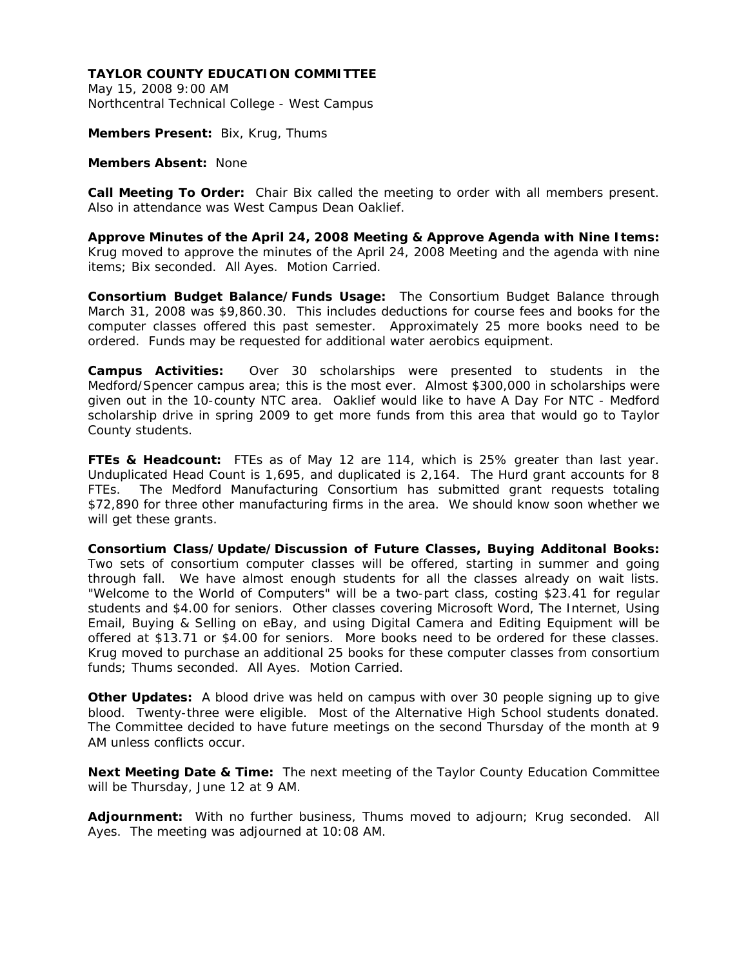May 15, 2008 9:00 AM Northcentral Technical College - West Campus

**Members Present:** Bix, Krug, Thums

#### **Members Absent:** None

**Call Meeting To Order:** Chair Bix called the meeting to order with all members present. Also in attendance was West Campus Dean Oaklief.

**Approve Minutes of the April 24, 2008 Meeting & Approve Agenda with Nine Items:**  Krug moved to approve the minutes of the April 24, 2008 Meeting and the agenda with nine items; Bix seconded. All Ayes. Motion Carried.

**Consortium Budget Balance/Funds Usage:** The Consortium Budget Balance through March 31, 2008 was \$9,860.30. This includes deductions for course fees and books for the computer classes offered this past semester. Approximately 25 more books need to be ordered. Funds may be requested for additional water aerobics equipment.

**Campus Activities:** Over 30 scholarships were presented to students in the Medford/Spencer campus area; this is the most ever. Almost \$300,000 in scholarships were given out in the 10-county NTC area. Oaklief would like to have A Day For NTC - Medford scholarship drive in spring 2009 to get more funds from this area that would go to Taylor County students.

**FTEs & Headcount:** FTEs as of May 12 are 114, which is 25% greater than last year. Unduplicated Head Count is 1,695, and duplicated is 2,164. The Hurd grant accounts for 8 FTEs. The Medford Manufacturing Consortium has submitted grant requests totaling \$72,890 for three other manufacturing firms in the area. We should know soon whether we will get these grants.

**Consortium Class/Update/Discussion of Future Classes, Buying Additonal Books:**  Two sets of consortium computer classes will be offered, starting in summer and going through fall. We have almost enough students for all the classes already on wait lists. "Welcome to the World of Computers" will be a two-part class, costing \$23.41 for regular students and \$4.00 for seniors. Other classes covering Microsoft Word, The Internet, Using Email, Buying & Selling on eBay, and using Digital Camera and Editing Equipment will be offered at \$13.71 or \$4.00 for seniors. More books need to be ordered for these classes. Krug moved to purchase an additional 25 books for these computer classes from consortium funds; Thums seconded. All Ayes. Motion Carried.

**Other Updates:** A blood drive was held on campus with over 30 people signing up to give blood. Twenty-three were eligible. Most of the Alternative High School students donated. The Committee decided to have future meetings on the second Thursday of the month at 9 AM unless conflicts occur.

**Next Meeting Date & Time:** The next meeting of the Taylor County Education Committee will be Thursday, June 12 at 9 AM.

**Adjournment:** With no further business, Thums moved to adjourn; Krug seconded. All Ayes. The meeting was adjourned at 10:08 AM.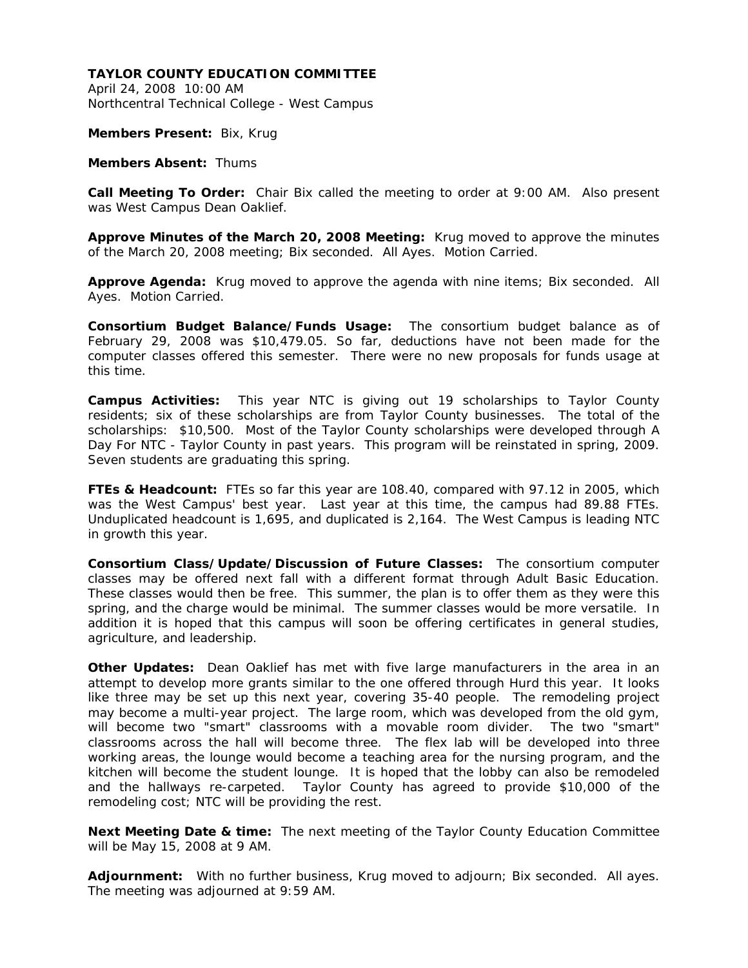April 24, 2008 10:00 AM Northcentral Technical College - West Campus

**Members Present:** Bix, Krug

**Members Absent:** Thums

**Call Meeting To Order:** Chair Bix called the meeting to order at 9:00 AM. Also present was West Campus Dean Oaklief.

**Approve Minutes of the March 20, 2008 Meeting:** Krug moved to approve the minutes of the March 20, 2008 meeting; Bix seconded. All Ayes. Motion Carried.

**Approve Agenda:** Krug moved to approve the agenda with nine items; Bix seconded. All Ayes. Motion Carried.

**Consortium Budget Balance/Funds Usage:** The consortium budget balance as of February 29, 2008 was \$10,479.05. So far, deductions have not been made for the computer classes offered this semester. There were no new proposals for funds usage at this time.

**Campus Activities:** This year NTC is giving out 19 scholarships to Taylor County residents; six of these scholarships are from Taylor County businesses. The total of the scholarships: \$10,500. Most of the Taylor County scholarships were developed through A Day For NTC - Taylor County in past years. This program will be reinstated in spring, 2009. Seven students are graduating this spring.

**FTEs & Headcount:** FTEs so far this year are 108.40, compared with 97.12 in 2005, which was the West Campus' best year. Last year at this time, the campus had 89.88 FTEs. Unduplicated headcount is 1,695, and duplicated is 2,164. The West Campus is leading NTC in growth this year.

**Consortium Class/Update/Discussion of Future Classes:** The consortium computer classes may be offered next fall with a different format through Adult Basic Education. These classes would then be free. This summer, the plan is to offer them as they were this spring, and the charge would be minimal. The summer classes would be more versatile. In addition it is hoped that this campus will soon be offering certificates in general studies, agriculture, and leadership.

**Other Updates:** Dean Oaklief has met with five large manufacturers in the area in an attempt to develop more grants similar to the one offered through Hurd this year. It looks like three may be set up this next year, covering 35-40 people. The remodeling project may become a multi-year project. The large room, which was developed from the old gym, will become two "smart" classrooms with a movable room divider. The two "smart" classrooms across the hall will become three. The flex lab will be developed into three working areas, the lounge would become a teaching area for the nursing program, and the kitchen will become the student lounge. It is hoped that the lobby can also be remodeled and the hallways re-carpeted. Taylor County has agreed to provide \$10,000 of the remodeling cost; NTC will be providing the rest.

**Next Meeting Date & time:** The next meeting of the Taylor County Education Committee will be May 15, 2008 at 9 AM.

**Adjournment:** With no further business, Krug moved to adjourn; Bix seconded. All ayes. The meeting was adjourned at 9:59 AM.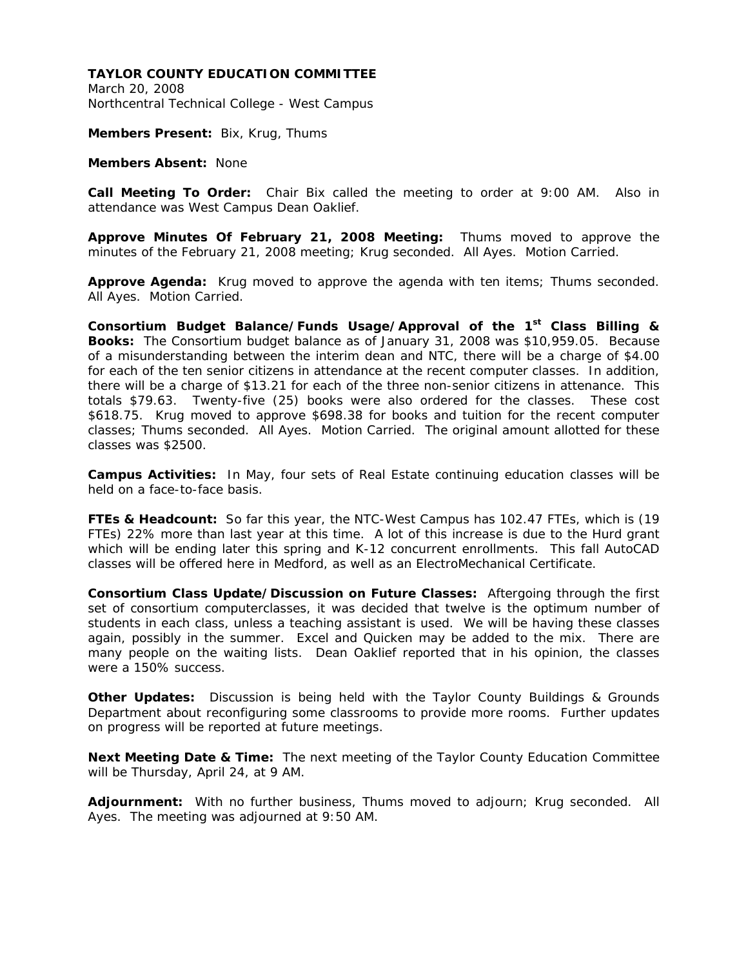March 20, 2008 Northcentral Technical College - West Campus

**Members Present:** Bix, Krug, Thums

**Members Absent:** None

**Call Meeting To Order:** Chair Bix called the meeting to order at 9:00 AM. Also in attendance was West Campus Dean Oaklief.

**Approve Minutes Of February 21, 2008 Meeting:** Thums moved to approve the minutes of the February 21, 2008 meeting; Krug seconded. All Ayes. Motion Carried.

**Approve Agenda:** Krug moved to approve the agenda with ten items; Thums seconded. All Ayes. Motion Carried.

**Consortium Budget Balance/Funds Usage/Approval of the 1st Class Billing & Books:** The Consortium budget balance as of January 31, 2008 was \$10,959.05. Because of a misunderstanding between the interim dean and NTC, there will be a charge of \$4.00 for each of the ten senior citizens in attendance at the recent computer classes. In addition, there will be a charge of \$13.21 for each of the three non-senior citizens in attenance. This totals \$79.63. Twenty-five (25) books were also ordered for the classes. These cost \$618.75. Krug moved to approve \$698.38 for books and tuition for the recent computer classes; Thums seconded. All Ayes. Motion Carried. The original amount allotted for these classes was \$2500.

**Campus Activities:** In May, four sets of Real Estate continuing education classes will be held on a face-to-face basis.

**FTEs & Headcount:** So far this year, the NTC-West Campus has 102.47 FTEs, which is (19 FTEs) 22% more than last year at this time. A lot of this increase is due to the Hurd grant which will be ending later this spring and K-12 concurrent enrollments. This fall AutoCAD classes will be offered here in Medford, as well as an ElectroMechanical Certificate.

**Consortium Class Update/Discussion on Future Classes:** Aftergoing through the first set of consortium computerclasses, it was decided that twelve is the optimum number of students in each class, unless a teaching assistant is used. We will be having these classes again, possibly in the summer. Excel and Quicken may be added to the mix. There are many people on the waiting lists. Dean Oaklief reported that in his opinion, the classes were a 150% success.

**Other Updates:** Discussion is being held with the Taylor County Buildings & Grounds Department about reconfiguring some classrooms to provide more rooms. Further updates on progress will be reported at future meetings.

**Next Meeting Date & Time:** The next meeting of the Taylor County Education Committee will be Thursday, April 24, at 9 AM.

**Adjournment:** With no further business, Thums moved to adjourn; Krug seconded. All Ayes. The meeting was adjourned at 9:50 AM.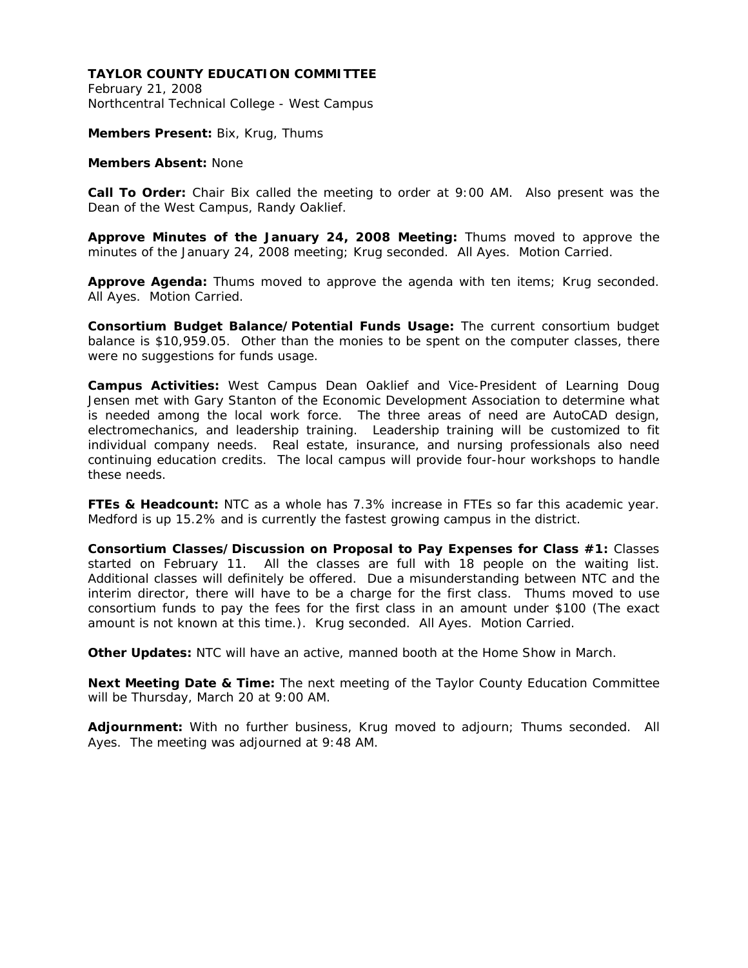February 21, 2008 Northcentral Technical College - West Campus

**Members Present:** Bix, Krug, Thums

**Members Absent:** None

**Call To Order:** Chair Bix called the meeting to order at 9:00 AM. Also present was the Dean of the West Campus, Randy Oaklief.

**Approve Minutes of the January 24, 2008 Meeting:** Thums moved to approve the minutes of the January 24, 2008 meeting; Krug seconded. All Ayes. Motion Carried.

**Approve Agenda:** Thums moved to approve the agenda with ten items; Krug seconded. All Ayes. Motion Carried.

**Consortium Budget Balance/Potential Funds Usage:** The current consortium budget balance is \$10,959.05. Other than the monies to be spent on the computer classes, there were no suggestions for funds usage.

**Campus Activities:** West Campus Dean Oaklief and Vice-President of Learning Doug Jensen met with Gary Stanton of the Economic Development Association to determine what is needed among the local work force. The three areas of need are AutoCAD design, electromechanics, and leadership training. Leadership training will be customized to fit individual company needs. Real estate, insurance, and nursing professionals also need continuing education credits. The local campus will provide four-hour workshops to handle these needs.

**FTEs & Headcount:** NTC as a whole has 7.3% increase in FTEs so far this academic year. Medford is up 15.2% and is currently the fastest growing campus in the district.

**Consortium Classes/Discussion on Proposal to Pay Expenses for Class #1:** Classes started on February 11. All the classes are full with 18 people on the waiting list. Additional classes will definitely be offered. Due a misunderstanding between NTC and the interim director, there will have to be a charge for the first class. Thums moved to use consortium funds to pay the fees for the first class in an amount under \$100 (The exact amount is not known at this time.). Krug seconded. All Ayes. Motion Carried.

**Other Updates:** NTC will have an active, manned booth at the Home Show in March.

**Next Meeting Date & Time:** The next meeting of the Taylor County Education Committee will be Thursday, March 20 at 9:00 AM.

**Adjournment:** With no further business, Krug moved to adjourn; Thums seconded. All Ayes. The meeting was adjourned at 9:48 AM.